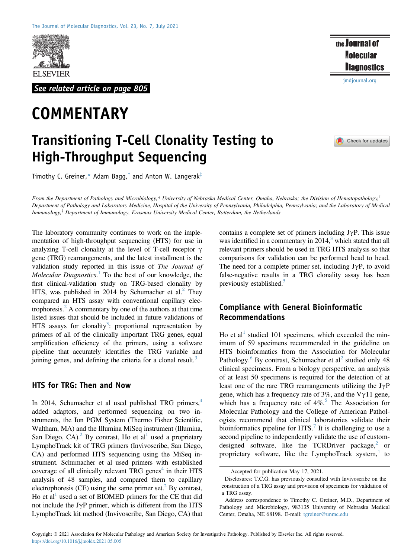

See related article on page 805

# **COMMENTARY**

# Transitioning T-Cell Clonality Testing to High-Throughput Sequencing

[jmdjournal.org](http://jmdjournal.org)

the Journal of **Molecular Diagnostics** 

#### Check for updates

Timothy C. Greiner,\* Adam Bagg,<sup>†</sup> and Anton W. Langerak<sup>‡</sup>

From the Department of Pathology and Microbiology,\* University of Nebraska Medical Center, Omaha, Nebraska; the Division of Hematopathology,<sup>†</sup> Department of Pathology and Laboratory Medicine, Hospital of the University of Pennsylvania, Philadelphia, Pennsylvania; and the Laboratory of Medical Immunology, $\frac{1}{2}$  Department of Immunology, Erasmus University Medical Center, Rotterdam, the Netherlands

The laboratory community continues to work on the implementation of high-throughput sequencing (HTS) for use in analyzing T-cell clonality at the level of T-cell receptor  $\gamma$ gene (TRG) rearrangements, and the latest installment is the validation study reported in this issue of The Journal of Molecular Diagnostics.<sup>[1](#page-1-0)</sup> To the best of our knowledge, the first clinical-validation study on TRG-based clonality by HTS, was published in [2](#page-1-1)014 by Schumacher et al.<sup>2</sup> They compared an HTS assay with conventional capillary electrophoresis. $<sup>2</sup>$  $<sup>2</sup>$  $<sup>2</sup>$  A commentary by one of the authors at that time</sup> listed issues that should be included in future validations of HTS assays for clonality<sup>3</sup>: proportional representation by primers of all of the clinically important TRG genes, equal amplification efficiency of the primers, using a software pipeline that accurately identifies the TRG variable and joining genes, and defining the criteria for a clonal result. $3$ 

#### HTS for TRG: Then and Now

In 2014, Schumacher et al used published TRG primers, $4\overline{ }$ added adaptors, and performed sequencing on two instruments, the Ion PGM System (Thermo Fisher Scientific, Waltham, MA) and the Illumina MiSeq instrument (Illumina, San Diego,  $CA)^2$  By contrast, Ho et al<sup>1</sup> used a proprietary LymphoTrack kit of TRG primers (Invivoscribe, San Diego, CA) and performed HTS sequencing using the MiSeq instrument. Schumacher et al used primers with established coverage of all clinically relevant TRG genes $4$  in their HTS analysis of 48 samples, and compared them to capillary electrophoresis (CE) using the same primer set.<sup>2</sup> By contrast, Ho et al<sup>[1](#page-1-0)</sup> used a set of BIOMED primers for the CE that did not include the  $J\gamma P$  primer, which is different from the HTS LymphoTrack kit method (Invivoscribe, San Diego, CA) that

contains a complete set of primers including  $J\gamma P$ . This issue was identified in a commentary in  $2014<sup>3</sup>$  $2014<sup>3</sup>$  $2014<sup>3</sup>$  which stated that all relevant primers should be used in TRG HTS analysis so that comparisons for validation can be performed head to head. The need for a complete primer set, including  $J\gamma P$ , to avoid false-negative results in a TRG clonality assay has been previously established.<sup>5</sup>

## Compliance with General Bioinformatic Recommendations

Ho et al<sup>[1](#page-1-0)</sup> studied 101 specimens, which exceeded the minimum of 59 specimens recommended in the guideline on HTS bioinformatics from the Association for Molecular Pathology.<sup>[6](#page-2-2)</sup> By contrast, Schumacher et al<sup>[2](#page-1-1)</sup> studied only 48 clinical specimens. From a biology perspective, an analysis of at least 50 specimens is required for the detection of at least one of the rare TRG rearrangements utilizing the  $J\gamma P$ gene, which has a frequency rate of  $3\%$ , and the V $\gamma$ 11 gene, which has a frequency rate of  $4\%$ <sup>[5](#page-2-1)</sup>. The Association for Molecular Pathology and the College of American Pathologists recommend that clinical laboratories validate their bioinformatics pipeline for  $HTS$ .<sup>[7](#page-2-3)</sup> It is challenging to use a second pipeline to independently validate the use of custom-designed software, like the TCRDriver package,<sup>[2](#page-1-1)</sup> or proprietary software, like the LymphoTrack system, $1$  to

Accepted for publication May 17, 2021.

Disclosures: T.C.G. has previously consulted with Invivoscribe on the construction of a TRG assay and provision of specimens for validation of a TRG assay.

Address correspondence to Timothy C. Greiner, M.D., Department of Pathology and Microbiology, 983135 University of Nebraska Medical Center, Omaha, NE 68198. E-mail: [tgreiner@unmc.edu](mailto:tgreiner@unmc.edu)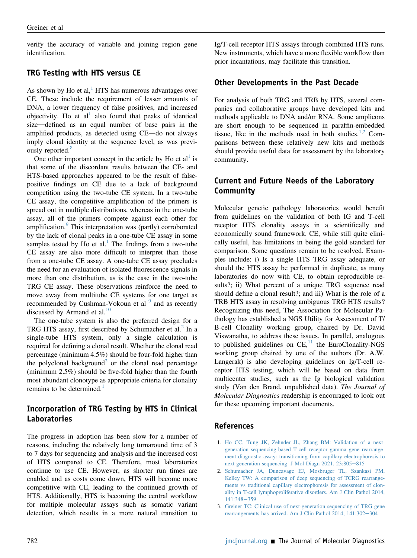verify the accuracy of variable and joining region gene identification.

#### TRG Testing with HTS versus CE

As shown by Ho et al, $<sup>1</sup>$  $<sup>1</sup>$  $<sup>1</sup>$  HTS has numerous advantages over</sup> CE. These include the requirement of lesser amounts of DNA, a lower frequency of false positives, and increased objectivity. Ho et  $al<sup>1</sup>$  also found that peaks of identical size—defined as an equal number of base pairs in the amplified products, as detected using CE-do not always imply clonal identity at the sequence level, as was previ-ously reported.<sup>[8](#page-2-4)</sup>

One other important concept in the article by Ho et  $al<sup>1</sup>$  $al<sup>1</sup>$  $al<sup>1</sup>$  is that some of the discordant results between the CE- and HTS-based approaches appeared to be the result of falsepositive findings on CE due to a lack of background competition using the two-tube CE system. In a two-tube CE assay, the competitive amplification of the primers is spread out in multiple distributions, whereas in the one-tube assay, all of the primers compete against each other for amplification.<sup>[9](#page-2-5)</sup> This interpretation was (partly) corroborated by the lack of clonal peaks in a one-tube CE assay in some samples tested by Ho et al.<sup>[1](#page-1-0)</sup> The findings from a two-tube CE assay are also more difficult to interpret than those from a one-tube CE assay. A one-tube CE assay precludes the need for an evaluation of isolated fluorescence signals in more than one distribution, as is the case in the two-tube TRG CE assay. These observations reinforce the need to move away from multitube CE systems for one target as recommended by Cushman-Vokoun et al <sup>[9](#page-2-5)</sup> and as recently discussed by Armand et al.<sup>[10](#page-2-6)</sup>

The one-tube system is also the preferred design for a TRG HTS assay, first described by Schumacher et al.<sup>2</sup> In a single-tube HTS system, only a single calculation is required for defining a clonal result. Whether the clonal read percentage (minimum 4.5%) should be four-fold higher than the polyclonal background<sup>[2](#page-1-1)</sup> or the clonal read percentage (minimum 2.5%) should be five-fold higher than the fourth most abundant clonotype as appropriate criteria for clonality remains to be determined.<sup>[1](#page-1-0)</sup>

# Incorporation of TRG Testing by HTS in Clinical Laboratories

The progress in adoption has been slow for a number of reasons, including the relatively long turnaround time of 3 to 7 days for sequencing and analysis and the increased cost of HTS compared to CE. Therefore, most laboratories continue to use CE. However, as shorter run times are enabled and as costs come down, HTS will become more competitive with CE, leading to the continued growth of HTS. Additionally, HTS is becoming the central workflow for multiple molecular assays such as somatic variant detection, which results in a more natural transition to

Ig/T-cell receptor HTS assays through combined HTS runs. New instruments, which have a more flexible workflow than prior incantations, may facilitate this transition.

#### Other Developments in the Past Decade

For analysis of both TRG and TRB by HTS, several companies and collaborative groups have developed kits and methods applicable to DNA and/or RNA. Some amplicons are short enough to be sequenced in paraffin-embedded tissue, like in the methods used in both studies. $1,2$  $1,2$  Comparisons between these relatively new kits and methods should provide useful data for assessment by the laboratory community.

## Current and Future Needs of the Laboratory Community

Molecular genetic pathology laboratories would benefit from guidelines on the validation of both IG and T-cell receptor HTS clonality assays in a scientifically and economically sound framework. CE, while still quite clinically useful, has limitations in being the gold standard for comparison. Some questions remain to be resolved. Examples include: i) Is a single HTS TRG assay adequate, or should the HTS assay be performed in duplicate, as many laboratories do now with CE, to obtain reproducible results?; ii) What percent of a unique TRG sequence read should define a clonal result?; and iii) What is the role of a TRB HTS assay in resolving ambiguous TRG HTS results? Recognizing this need, The Association for Molecular Pathology has established a NGS Utility for Assessment of T/ B-cell Clonality working group, chaired by Dr. David Viswanatha, to address these issues. In parallel, analogous to published guidelines on  $CE$ ,<sup>[11](#page-2-7)</sup> the EuroClonality-NGS working group chaired by one of the authors (Dr. A.W. Langerak) is also developing guidelines on Ig/T-cell receptor HTS testing, which will be based on data from multicenter studies, such as the Ig biological validation study (Van den Brand, unpublished data). The Journal of Molecular Diagnostics readership is encouraged to look out for these upcoming important documents.

#### <span id="page-1-0"></span>References

- 1. [Ho CC, Tung JK, Zehnder JL, Zhang BM: Validation of a next](http://refhub.elsevier.com/S1525-1578(21)00127-6/sref1)[generation sequencing-based T-cell receptor gamma gene rearrange](http://refhub.elsevier.com/S1525-1578(21)00127-6/sref1)[ment diagnostic assay: transitioning from capillary electrophoresis to](http://refhub.elsevier.com/S1525-1578(21)00127-6/sref1) [next-generation sequencing. J Mol Diagn 2021, 23:805](http://refhub.elsevier.com/S1525-1578(21)00127-6/sref1)-[815](http://refhub.elsevier.com/S1525-1578(21)00127-6/sref1)
- <span id="page-1-1"></span>2. [Schumacher JA, Duncavage EJ, Mosbruger TL, Szankasi PM,](http://refhub.elsevier.com/S1525-1578(21)00127-6/sref2) [Kelley TW: A comparison of deep sequencing of TCRG rearrange](http://refhub.elsevier.com/S1525-1578(21)00127-6/sref2)[ments vs traditional capillary electrophoresis for assessment of clon](http://refhub.elsevier.com/S1525-1578(21)00127-6/sref2)[ality in T-cell lymphoproliferative disorders. Am J Clin Pathol 2014,](http://refhub.elsevier.com/S1525-1578(21)00127-6/sref2)  $141:348 - 359$  $141:348 - 359$  $141:348 - 359$
- <span id="page-1-2"></span>3. [Greiner TC: Clinical use of next-generation sequencing of TRG gene](http://refhub.elsevier.com/S1525-1578(21)00127-6/sref3) rearrangements has arrived. Am J Clin Pathol  $2014$ ,  $141:302-304$  $141:302-304$